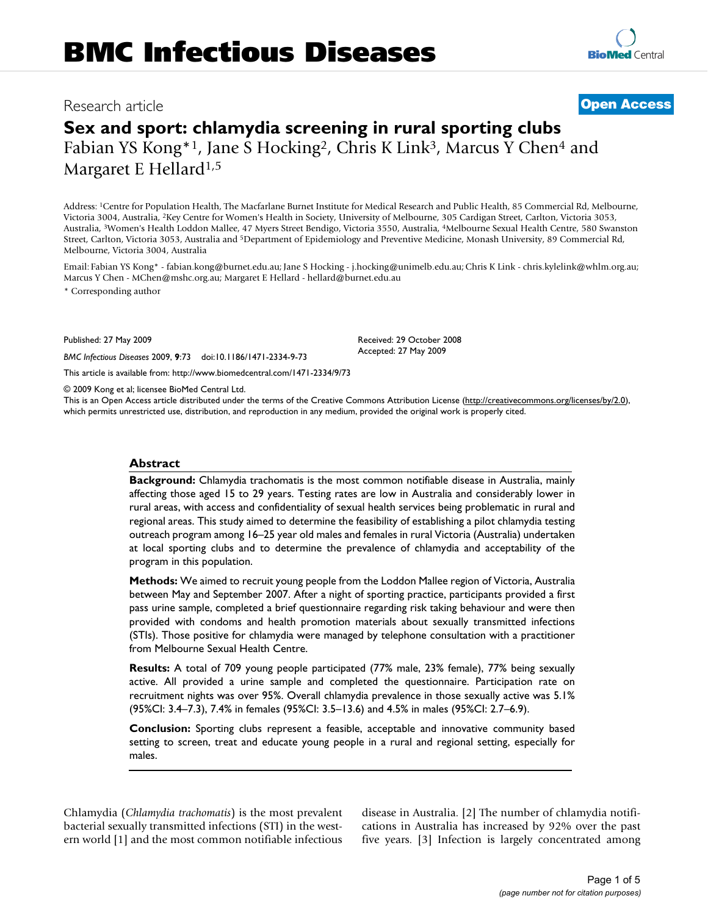# **Sex and sport: chlamydia screening in rural sporting clubs** Fabian YS Kong\*1, Jane S Hocking<sup>2</sup>, Chris K Link<sup>3</sup>, Marcus Y Chen<sup>4</sup> and Margaret E Hellard<sup>1,5</sup>

Address: 1Centre for Population Health, The Macfarlane Burnet Institute for Medical Research and Public Health, 85 Commercial Rd, Melbourne, Victoria 3004, Australia, 2Key Centre for Women's Health in Society, University of Melbourne, 305 Cardigan Street, Carlton, Victoria 3053, Australia, 3Women's Health Loddon Mallee, 47 Myers Street Bendigo, Victoria 3550, Australia, 4Melbourne Sexual Health Centre, 580 Swanston Street, Carlton, Victoria 3053, Australia and 5Department of Epidemiology and Preventive Medicine, Monash University, 89 Commercial Rd, Melbourne, Victoria 3004, Australia

Email: Fabian YS Kong\* - fabian.kong@burnet.edu.au; Jane S Hocking - j.hocking@unimelb.edu.au; Chris K Link - chris.kylelink@whlm.org.au; Marcus Y Chen - MChen@mshc.org.au; Margaret E Hellard - hellard@burnet.edu.au

\* Corresponding author

Published: 27 May 2009

*BMC Infectious Diseases* 2009, **9**:73 doi:10.1186/1471-2334-9-73

[This article is available from: http://www.biomedcentral.com/1471-2334/9/73](http://www.biomedcentral.com/1471-2334/9/73)

© 2009 Kong et al; licensee BioMed Central Ltd.

This is an Open Access article distributed under the terms of the Creative Commons Attribution License [\(http://creativecommons.org/licenses/by/2.0\)](http://creativecommons.org/licenses/by/2.0), which permits unrestricted use, distribution, and reproduction in any medium, provided the original work is properly cited.

#### **Abstract**

**Background:** Chlamydia trachomatis is the most common notifiable disease in Australia, mainly affecting those aged 15 to 29 years. Testing rates are low in Australia and considerably lower in rural areas, with access and confidentiality of sexual health services being problematic in rural and regional areas. This study aimed to determine the feasibility of establishing a pilot chlamydia testing outreach program among 16–25 year old males and females in rural Victoria (Australia) undertaken at local sporting clubs and to determine the prevalence of chlamydia and acceptability of the program in this population.

**Methods:** We aimed to recruit young people from the Loddon Mallee region of Victoria, Australia between May and September 2007. After a night of sporting practice, participants provided a first pass urine sample, completed a brief questionnaire regarding risk taking behaviour and were then provided with condoms and health promotion materials about sexually transmitted infections (STIs). Those positive for chlamydia were managed by telephone consultation with a practitioner from Melbourne Sexual Health Centre.

**Results:** A total of 709 young people participated (77% male, 23% female), 77% being sexually active. All provided a urine sample and completed the questionnaire. Participation rate on recruitment nights was over 95%. Overall chlamydia prevalence in those sexually active was 5.1% (95%CI: 3.4–7.3), 7.4% in females (95%CI: 3.5–13.6) and 4.5% in males (95%CI: 2.7–6.9).

**Conclusion:** Sporting clubs represent a feasible, acceptable and innovative community based setting to screen, treat and educate young people in a rural and regional setting, especially for males.

Chlamydia (*Chlamydia trachomatis*) is the most prevalent bacterial sexually transmitted infections (STI) in the western world [[1](#page-3-0)] and the most common notifiable infectious disease in Australia. [\[2](#page-3-1)] The number of chlamydia notifications in Australia has increased by 92% over the past five years. [[3](#page-3-2)] Infection is largely concentrated among

# Research article **[Open Access](http://www.biomedcentral.com/info/about/charter/)**

Received: 29 October 2008 Accepted: 27 May 2009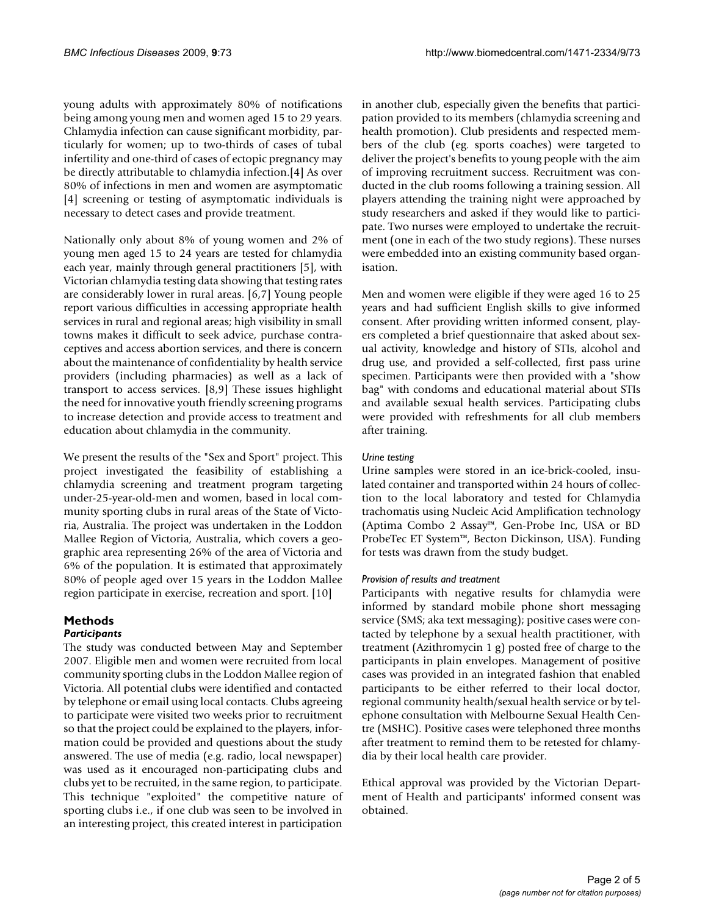young adults with approximately 80% of notifications being among young men and women aged 15 to 29 years. Chlamydia infection can cause significant morbidity, particularly for women; up to two-thirds of cases of tubal infertility and one-third of cases of ectopic pregnancy may be directly attributable to chlamydia infection.[\[4\]](#page-4-0) As over 80% of infections in men and women are asymptomatic [[4\]](#page-4-0) screening or testing of asymptomatic individuals is necessary to detect cases and provide treatment.

Nationally only about 8% of young women and 2% of young men aged 15 to 24 years are tested for chlamydia each year, mainly through general practitioners [[5](#page-4-1)], with Victorian chlamydia testing data showing that testing rates are considerably lower in rural areas. [[6](#page-4-2),[7](#page-4-3)] Young people report various difficulties in accessing appropriate health services in rural and regional areas; high visibility in small towns makes it difficult to seek advice, purchase contraceptives and access abortion services, and there is concern about the maintenance of confidentiality by health service providers (including pharmacies) as well as a lack of transport to access services. [[8](#page-4-4),[9](#page-4-5)] These issues highlight the need for innovative youth friendly screening programs to increase detection and provide access to treatment and education about chlamydia in the community.

We present the results of the "Sex and Sport" project. This project investigated the feasibility of establishing a chlamydia screening and treatment program targeting under-25-year-old-men and women, based in local community sporting clubs in rural areas of the State of Victoria, Australia. The project was undertaken in the Loddon Mallee Region of Victoria, Australia, which covers a geographic area representing 26% of the area of Victoria and 6% of the population. It is estimated that approximately 80% of people aged over 15 years in the Loddon Mallee region participate in exercise, recreation and sport. [\[10\]](#page-4-6)

#### **Methods** *Participants*

The study was conducted between May and September 2007. Eligible men and women were recruited from local community sporting clubs in the Loddon Mallee region of Victoria. All potential clubs were identified and contacted by telephone or email using local contacts. Clubs agreeing to participate were visited two weeks prior to recruitment so that the project could be explained to the players, information could be provided and questions about the study answered. The use of media (e.g. radio, local newspaper) was used as it encouraged non-participating clubs and clubs yet to be recruited, in the same region, to participate. This technique "exploited" the competitive nature of sporting clubs i.e., if one club was seen to be involved in an interesting project, this created interest in participation in another club, especially given the benefits that participation provided to its members (chlamydia screening and health promotion). Club presidents and respected members of the club (eg. sports coaches) were targeted to deliver the project's benefits to young people with the aim of improving recruitment success. Recruitment was conducted in the club rooms following a training session. All players attending the training night were approached by study researchers and asked if they would like to participate. Two nurses were employed to undertake the recruitment (one in each of the two study regions). These nurses were embedded into an existing community based organisation.

Men and women were eligible if they were aged 16 to 25 years and had sufficient English skills to give informed consent. After providing written informed consent, players completed a brief questionnaire that asked about sexual activity, knowledge and history of STIs, alcohol and drug use, and provided a self-collected, first pass urine specimen. Participants were then provided with a "show bag" with condoms and educational material about STIs and available sexual health services. Participating clubs were provided with refreshments for all club members after training.

#### *Urine testing*

Urine samples were stored in an ice-brick-cooled, insulated container and transported within 24 hours of collection to the local laboratory and tested for Chlamydia trachomatis using Nucleic Acid Amplification technology (Aptima Combo 2 Assay™, Gen-Probe Inc, USA or BD ProbeTec ET System™, Becton Dickinson, USA). Funding for tests was drawn from the study budget.

#### *Provision of results and treatment*

Participants with negative results for chlamydia were informed by standard mobile phone short messaging service (SMS; aka text messaging); positive cases were contacted by telephone by a sexual health practitioner, with treatment (Azithromycin 1 g) posted free of charge to the participants in plain envelopes. Management of positive cases was provided in an integrated fashion that enabled participants to be either referred to their local doctor, regional community health/sexual health service or by telephone consultation with Melbourne Sexual Health Centre (MSHC). Positive cases were telephoned three months after treatment to remind them to be retested for chlamydia by their local health care provider.

Ethical approval was provided by the Victorian Department of Health and participants' informed consent was obtained.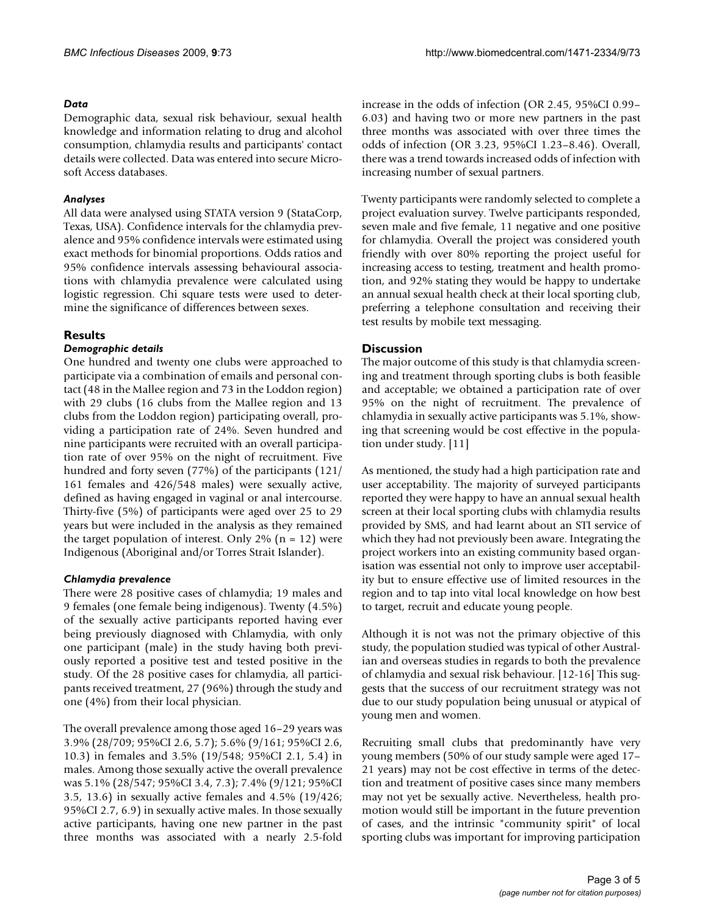#### *Data*

Demographic data, sexual risk behaviour, sexual health knowledge and information relating to drug and alcohol consumption, chlamydia results and participants' contact details were collected. Data was entered into secure Microsoft Access databases.

#### *Analyses*

All data were analysed using STATA version 9 (StataCorp, Texas, USA). Confidence intervals for the chlamydia prevalence and 95% confidence intervals were estimated using exact methods for binomial proportions. Odds ratios and 95% confidence intervals assessing behavioural associations with chlamydia prevalence were calculated using logistic regression. Chi square tests were used to determine the significance of differences between sexes.

# **Results**

#### *Demographic details*

One hundred and twenty one clubs were approached to participate via a combination of emails and personal contact (48 in the Mallee region and 73 in the Loddon region) with 29 clubs (16 clubs from the Mallee region and 13 clubs from the Loddon region) participating overall, providing a participation rate of 24%. Seven hundred and nine participants were recruited with an overall participation rate of over 95% on the night of recruitment. Five hundred and forty seven (77%) of the participants (121/ 161 females and 426/548 males) were sexually active, defined as having engaged in vaginal or anal intercourse. Thirty-five (5%) of participants were aged over 25 to 29 years but were included in the analysis as they remained the target population of interest. Only  $2\%$  (n = 12) were Indigenous (Aboriginal and/or Torres Strait Islander).

#### *Chlamydia prevalence*

There were 28 positive cases of chlamydia; 19 males and 9 females (one female being indigenous). Twenty (4.5%) of the sexually active participants reported having ever being previously diagnosed with Chlamydia, with only one participant (male) in the study having both previously reported a positive test and tested positive in the study. Of the 28 positive cases for chlamydia, all participants received treatment, 27 (96%) through the study and one (4%) from their local physician.

The overall prevalence among those aged 16–29 years was 3.9% (28/709; 95%CI 2.6, 5.7); 5.6% (9/161; 95%CI 2.6, 10.3) in females and 3.5% (19/548; 95%CI 2.1, 5.4) in males. Among those sexually active the overall prevalence was 5.1% (28/547; 95%CI 3.4, 7.3); 7.4% (9/121; 95%CI 3.5, 13.6) in sexually active females and 4.5% (19/426; 95%CI 2.7, 6.9) in sexually active males. In those sexually active participants, having one new partner in the past three months was associated with a nearly 2.5-fold increase in the odds of infection (OR 2.45, 95%CI 0.99– 6.03) and having two or more new partners in the past three months was associated with over three times the odds of infection (OR 3.23, 95%CI 1.23–8.46). Overall, there was a trend towards increased odds of infection with increasing number of sexual partners.

Twenty participants were randomly selected to complete a project evaluation survey. Twelve participants responded, seven male and five female, 11 negative and one positive for chlamydia. Overall the project was considered youth friendly with over 80% reporting the project useful for increasing access to testing, treatment and health promotion, and 92% stating they would be happy to undertake an annual sexual health check at their local sporting club, preferring a telephone consultation and receiving their test results by mobile text messaging.

# **Discussion**

The major outcome of this study is that chlamydia screening and treatment through sporting clubs is both feasible and acceptable; we obtained a participation rate of over 95% on the night of recruitment. The prevalence of chlamydia in sexually active participants was 5.1%, showing that screening would be cost effective in the population under study. [\[11](#page-4-7)]

As mentioned, the study had a high participation rate and user acceptability. The majority of surveyed participants reported they were happy to have an annual sexual health screen at their local sporting clubs with chlamydia results provided by SMS, and had learnt about an STI service of which they had not previously been aware. Integrating the project workers into an existing community based organisation was essential not only to improve user acceptability but to ensure effective use of limited resources in the region and to tap into vital local knowledge on how best to target, recruit and educate young people.

Although it is not was not the primary objective of this study, the population studied was typical of other Australian and overseas studies in regards to both the prevalence of chlamydia and sexual risk behaviour. [\[12](#page-4-8)[-16\]](#page-4-9) This suggests that the success of our recruitment strategy was not due to our study population being unusual or atypical of young men and women.

Recruiting small clubs that predominantly have very young members (50% of our study sample were aged 17– 21 years) may not be cost effective in terms of the detection and treatment of positive cases since many members may not yet be sexually active. Nevertheless, health promotion would still be important in the future prevention of cases, and the intrinsic "community spirit" of local sporting clubs was important for improving participation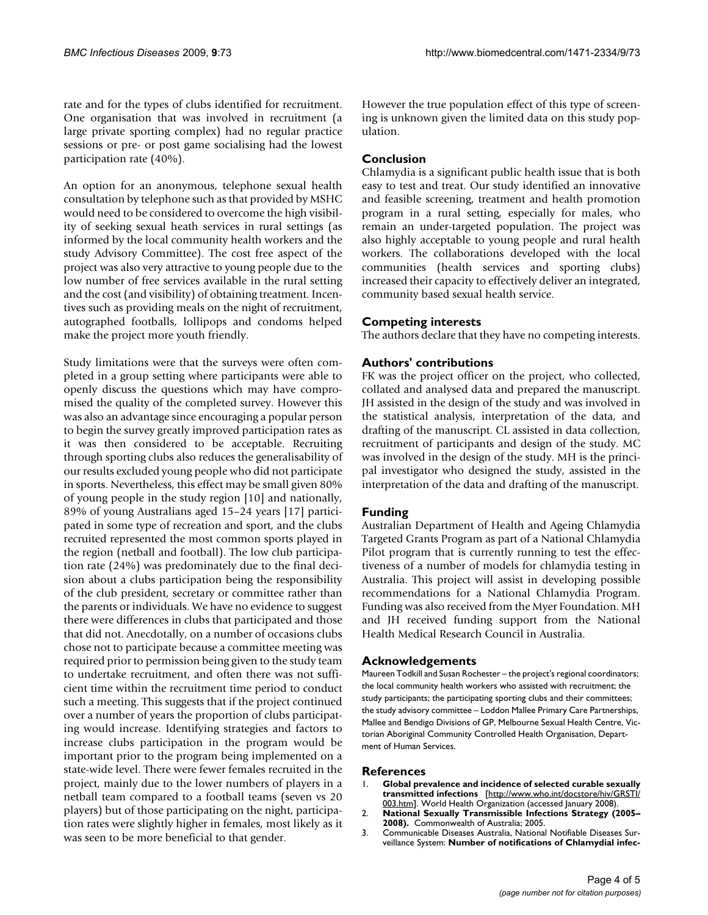rate and for the types of clubs identified for recruitment. One organisation that was involved in recruitment (a large private sporting complex) had no regular practice sessions or pre- or post game socialising had the lowest participation rate (40%).

An option for an anonymous, telephone sexual health consultation by telephone such as that provided by MSHC would need to be considered to overcome the high visibility of seeking sexual heath services in rural settings (as informed by the local community health workers and the study Advisory Committee). The cost free aspect of the project was also very attractive to young people due to the low number of free services available in the rural setting and the cost (and visibility) of obtaining treatment. Incentives such as providing meals on the night of recruitment, autographed footballs, lollipops and condoms helped make the project more youth friendly.

Study limitations were that the surveys were often completed in a group setting where participants were able to openly discuss the questions which may have compromised the quality of the completed survey. However this was also an advantage since encouraging a popular person to begin the survey greatly improved participation rates as it was then considered to be acceptable. Recruiting through sporting clubs also reduces the generalisability of our results excluded young people who did not participate in sports. Nevertheless, this effect may be small given 80% of young people in the study region [\[10](#page-4-6)] and nationally, 89% of young Australians aged 15–24 years [\[17\]](#page-4-10) participated in some type of recreation and sport, and the clubs recruited represented the most common sports played in the region (netball and football). The low club participation rate (24%) was predominately due to the final decision about a clubs participation being the responsibility of the club president, secretary or committee rather than the parents or individuals. We have no evidence to suggest there were differences in clubs that participated and those that did not. Anecdotally, on a number of occasions clubs chose not to participate because a committee meeting was required prior to permission being given to the study team to undertake recruitment, and often there was not sufficient time within the recruitment time period to conduct such a meeting. This suggests that if the project continued over a number of years the proportion of clubs participating would increase. Identifying strategies and factors to increase clubs participation in the program would be important prior to the program being implemented on a state-wide level. There were fewer females recruited in the project, mainly due to the lower numbers of players in a netball team compared to a football teams (seven vs 20 players) but of those participating on the night, participation rates were slightly higher in females, most likely as it was seen to be more beneficial to that gender.

However the true population effect of this type of screening is unknown given the limited data on this study population.

# **Conclusion**

Chlamydia is a significant public health issue that is both easy to test and treat. Our study identified an innovative and feasible screening, treatment and health promotion program in a rural setting, especially for males, who remain an under-targeted population. The project was also highly acceptable to young people and rural health workers. The collaborations developed with the local communities (health services and sporting clubs) increased their capacity to effectively deliver an integrated, community based sexual health service.

## **Competing interests**

The authors declare that they have no competing interests.

## **Authors' contributions**

FK was the project officer on the project, who collected, collated and analysed data and prepared the manuscript. JH assisted in the design of the study and was involved in the statistical analysis, interpretation of the data, and drafting of the manuscript. CL assisted in data collection, recruitment of participants and design of the study. MC was involved in the design of the study. MH is the principal investigator who designed the study, assisted in the interpretation of the data and drafting of the manuscript.

# **Funding**

Australian Department of Health and Ageing Chlamydia Targeted Grants Program as part of a National Chlamydia Pilot program that is currently running to test the effectiveness of a number of models for chlamydia testing in Australia. This project will assist in developing possible recommendations for a National Chlamydia Program. Funding was also received from the Myer Foundation. MH and JH received funding support from the National Health Medical Research Council in Australia.

#### **Acknowledgements**

Maureen Todkill and Susan Rochester – the project's regional coordinators; the local community health workers who assisted with recruitment; the study participants; the participating sporting clubs and their committees; the study advisory committee – Loddon Mallee Primary Care Partnerships, Mallee and Bendigo Divisions of GP, Melbourne Sexual Health Centre, Victorian Aboriginal Community Controlled Health Organisation, Department of Human Services.

#### **References**

- <span id="page-3-0"></span>1. **Global prevalence and incidence of selected curable sexually transmitted infections** [[http://www.who.int/docstore/hiv/GRSTI/](http://www.who.int/docstore/hiv/GRSTI/003.htm) [003.htm\]](http://www.who.int/docstore/hiv/GRSTI/003.htm). World Health Organization (accessed January 2008).
- <span id="page-3-1"></span>2. **National Sexually Transmissible Infections Strategy (2005– 2008).** Commonwealth of Australia; 2005.
- <span id="page-3-2"></span>3. Communicable Diseases Australia, National Notifiable Diseases Surveillance System: **Number of notifications of Chlamydial infec-**